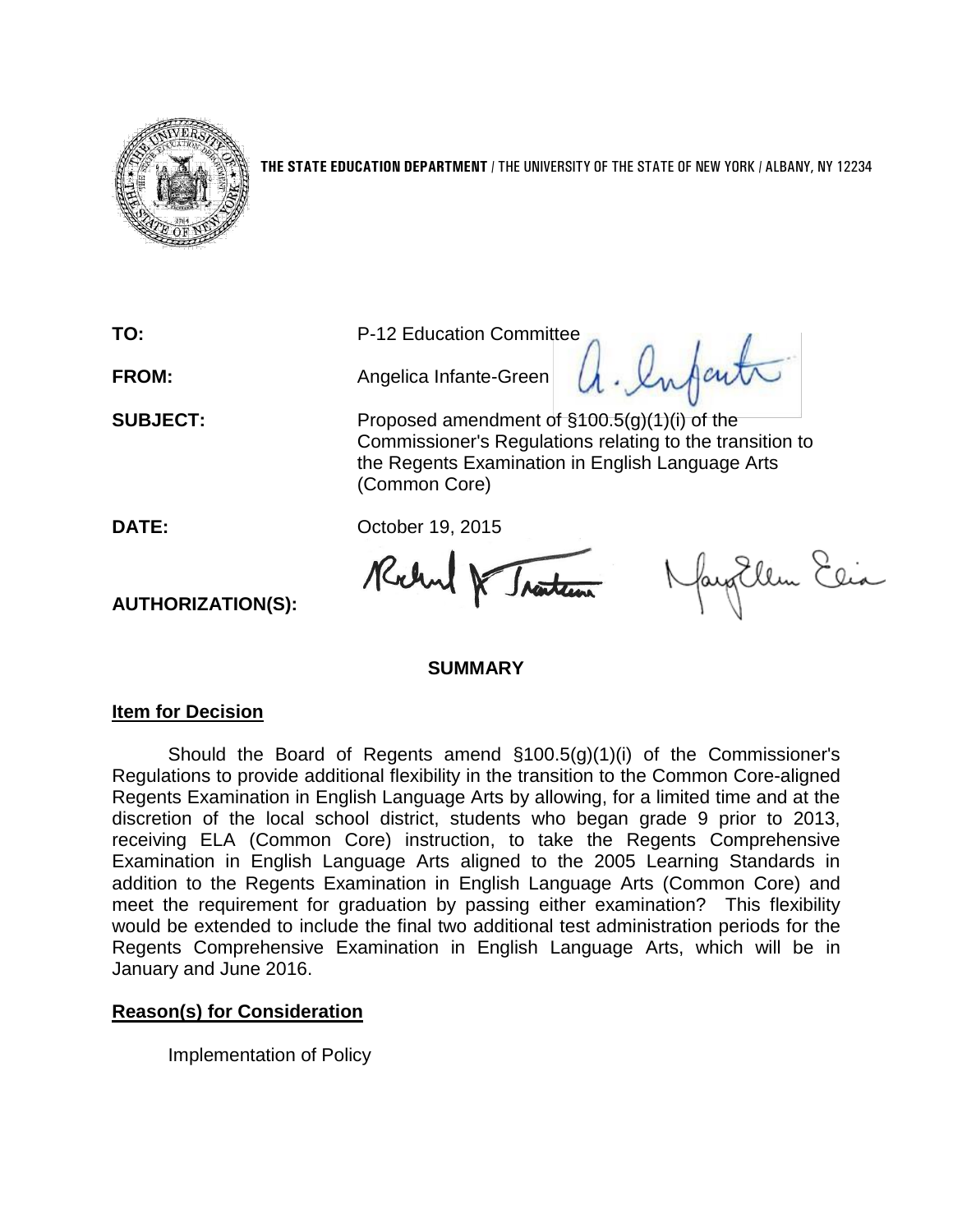

**THE STATE EDUCATION DEPARTMENT** / THE UNIVERSITY OF THE STATE OF NEW YORK / ALBANY, NY 12234

**FROM:** Angelica Infante-Green

**TO:** P-12 Education Committee<br>**FROM:** Angelica Infante-Green  $\theta$ , enfant

**SUBJECT:** Proposed amendment of §100.5(g)(1)(i) of the Commissioner's Regulations relating to the transition to the Regents Examination in English Language Arts (Common Core)

**DATE:** October 19, 2015

Rochard & Traiten

Nayollem Elia

## **SUMMARY**

## **Item for Decision**

**AUTHORIZATION(S):**

Should the Board of Regents amend §100.5(g)(1)(i) of the Commissioner's Regulations to provide additional flexibility in the transition to the Common Core-aligned Regents Examination in English Language Arts by allowing, for a limited time and at the discretion of the local school district, students who began grade 9 prior to 2013, receiving ELA (Common Core) instruction, to take the Regents Comprehensive Examination in English Language Arts aligned to the 2005 Learning Standards in addition to the Regents Examination in English Language Arts (Common Core) and meet the requirement for graduation by passing either examination? This flexibility would be extended to include the final two additional test administration periods for the Regents Comprehensive Examination in English Language Arts, which will be in January and June 2016.

## **Reason(s) for Consideration**

Implementation of Policy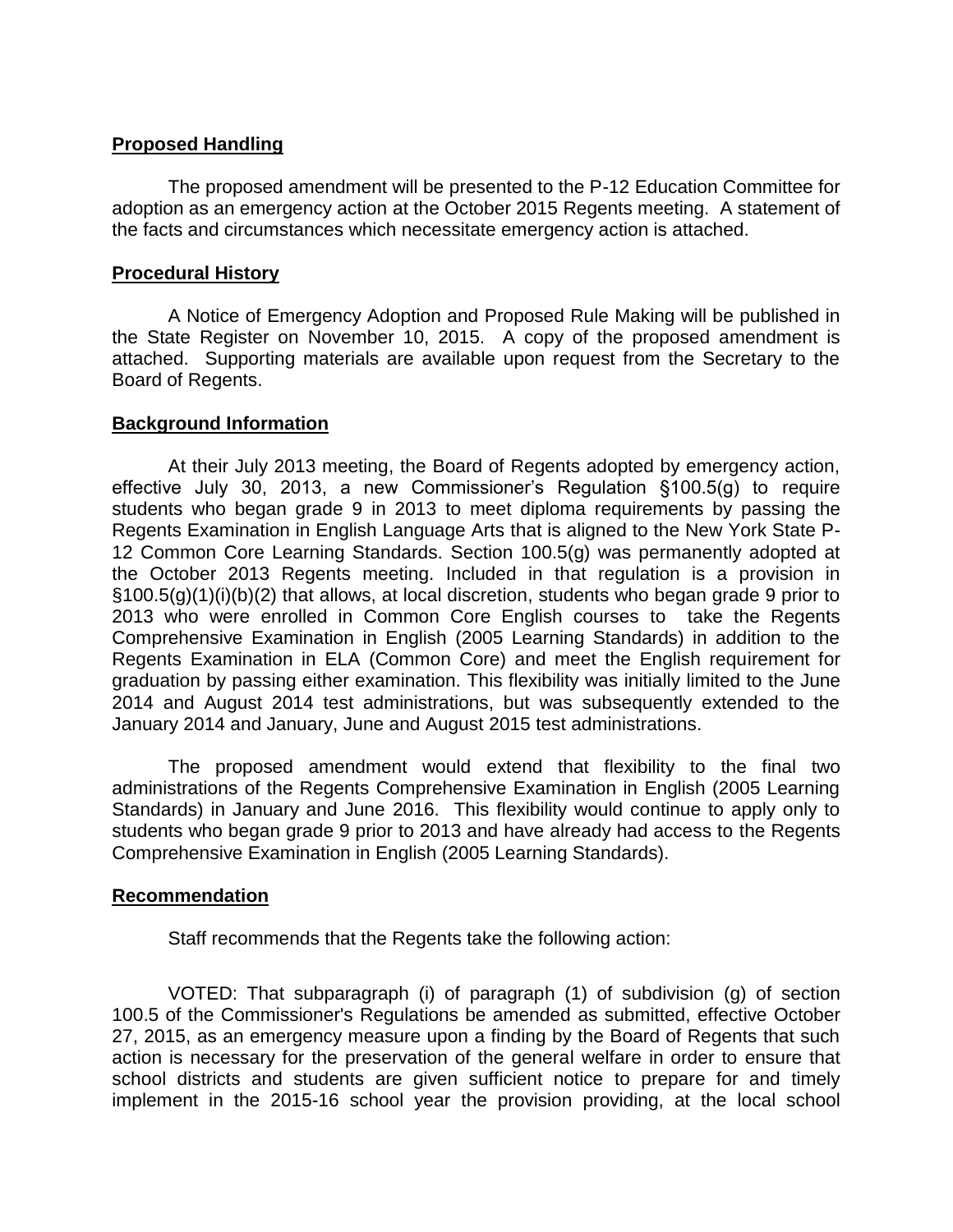# **Proposed Handling**

The proposed amendment will be presented to the P-12 Education Committee for adoption as an emergency action at the October 2015 Regents meeting. A statement of the facts and circumstances which necessitate emergency action is attached.

#### **Procedural History**

A Notice of Emergency Adoption and Proposed Rule Making will be published in the State Register on November 10, 2015. A copy of the proposed amendment is attached. Supporting materials are available upon request from the Secretary to the Board of Regents.

## **Background Information**

At their July 2013 meeting, the Board of Regents adopted by emergency action, effective July 30, 2013, a new Commissioner's Regulation §100.5(g) to require students who began grade 9 in 2013 to meet diploma requirements by passing the Regents Examination in English Language Arts that is aligned to the New York State P-12 Common Core Learning Standards. Section 100.5(g) was permanently adopted at the October 2013 Regents meeting. Included in that regulation is a provision in §100.5(g)(1)(i)(b)(2) that allows, at local discretion, students who began grade 9 prior to 2013 who were enrolled in Common Core English courses to take the Regents Comprehensive Examination in English (2005 Learning Standards) in addition to the Regents Examination in ELA (Common Core) and meet the English requirement for graduation by passing either examination. This flexibility was initially limited to the June 2014 and August 2014 test administrations, but was subsequently extended to the January 2014 and January, June and August 2015 test administrations.

The proposed amendment would extend that flexibility to the final two administrations of the Regents Comprehensive Examination in English (2005 Learning Standards) in January and June 2016. This flexibility would continue to apply only to students who began grade 9 prior to 2013 and have already had access to the Regents Comprehensive Examination in English (2005 Learning Standards).

## **Recommendation**

Staff recommends that the Regents take the following action:

VOTED: That subparagraph (i) of paragraph (1) of subdivision (g) of section 100.5 of the Commissioner's Regulations be amended as submitted, effective October 27, 2015, as an emergency measure upon a finding by the Board of Regents that such action is necessary for the preservation of the general welfare in order to ensure that school districts and students are given sufficient notice to prepare for and timely implement in the 2015-16 school year the provision providing, at the local school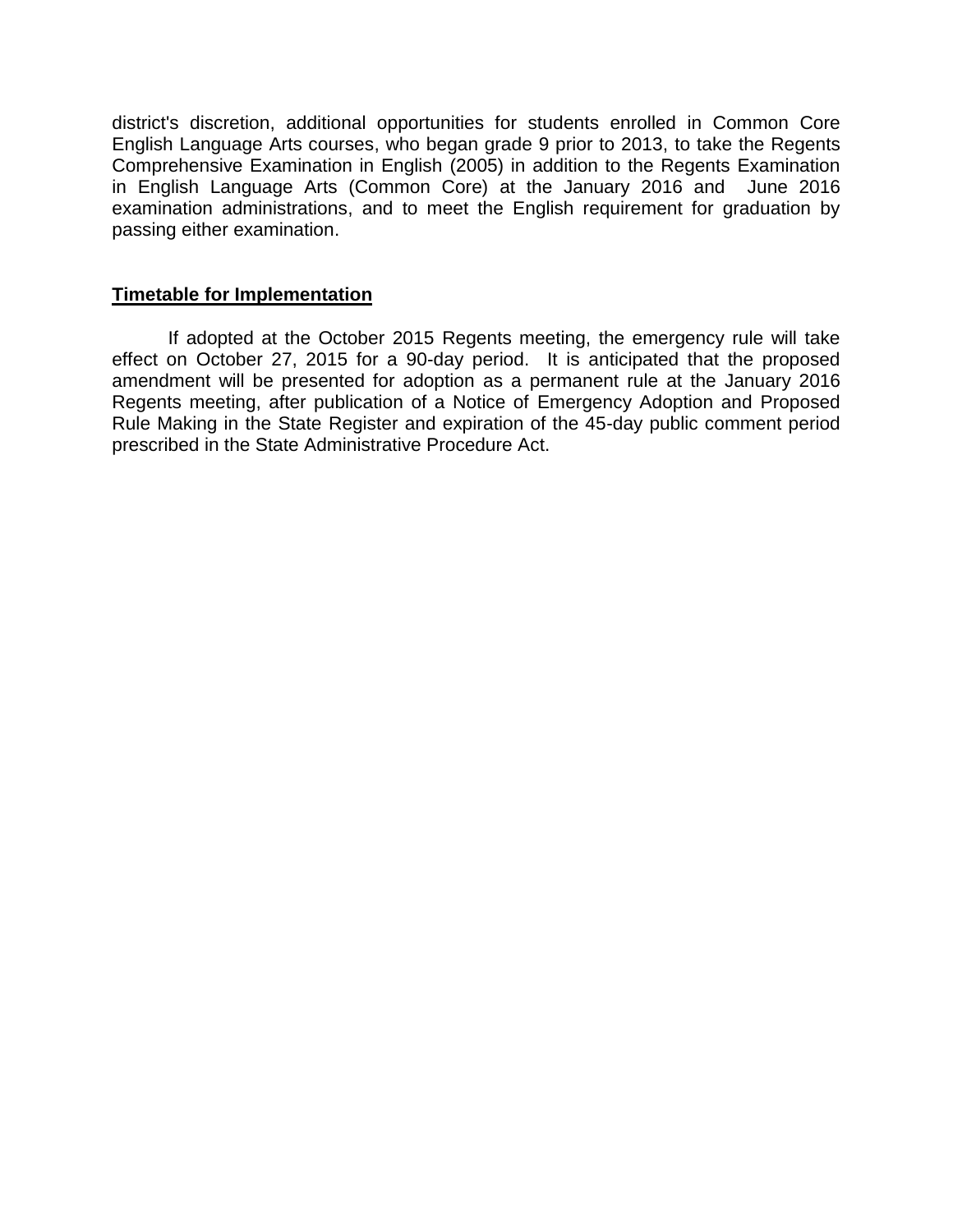district's discretion, additional opportunities for students enrolled in Common Core English Language Arts courses, who began grade 9 prior to 2013, to take the Regents Comprehensive Examination in English (2005) in addition to the Regents Examination in English Language Arts (Common Core) at the January 2016 and June 2016 examination administrations, and to meet the English requirement for graduation by passing either examination.

# **Timetable for Implementation**

If adopted at the October 2015 Regents meeting, the emergency rule will take effect on October 27, 2015 for a 90-day period. It is anticipated that the proposed amendment will be presented for adoption as a permanent rule at the January 2016 Regents meeting, after publication of a Notice of Emergency Adoption and Proposed Rule Making in the State Register and expiration of the 45-day public comment period prescribed in the State Administrative Procedure Act.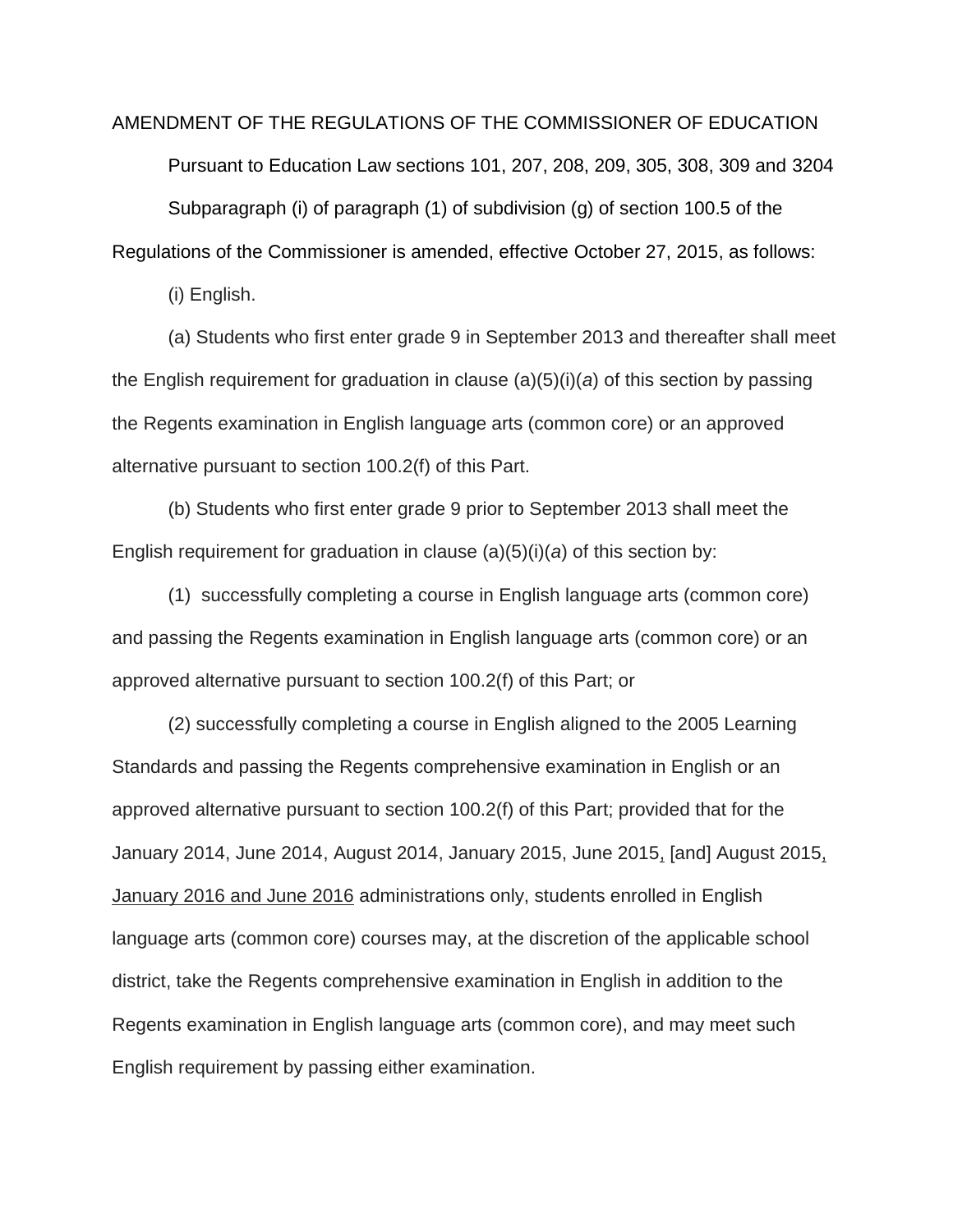AMENDMENT OF THE REGULATIONS OF THE COMMISSIONER OF EDUCATION Pursuant to Education Law sections 101, 207, 208, 209, 305, 308, 309 and 3204 Subparagraph (i) of paragraph (1) of subdivision (g) of section 100.5 of the Regulations of the Commissioner is amended, effective October 27, 2015, as follows:

(i) English.

(a) Students who first enter grade 9 in September 2013 and thereafter shall meet the English requirement for graduation in clause (a)(5)(i)(*a*) of this section by passing the Regents examination in English language arts (common core) or an approved alternative pursuant to section 100.2(f) of this Part.

(b) Students who first enter grade 9 prior to September 2013 shall meet the English requirement for graduation in clause (a)(5)(i)(*a*) of this section by:

(1) successfully completing a course in English language arts (common core) and passing the Regents examination in English language arts (common core) or an approved alternative pursuant to section 100.2(f) of this Part; or

(2) successfully completing a course in English aligned to the 2005 Learning Standards and passing the Regents comprehensive examination in English or an approved alternative pursuant to section 100.2(f) of this Part; provided that for the January 2014, June 2014, August 2014, January 2015, June 2015, [and] August 2015, January 2016 and June 2016 administrations only, students enrolled in English language arts (common core) courses may, at the discretion of the applicable school district, take the Regents comprehensive examination in English in addition to the Regents examination in English language arts (common core), and may meet such English requirement by passing either examination.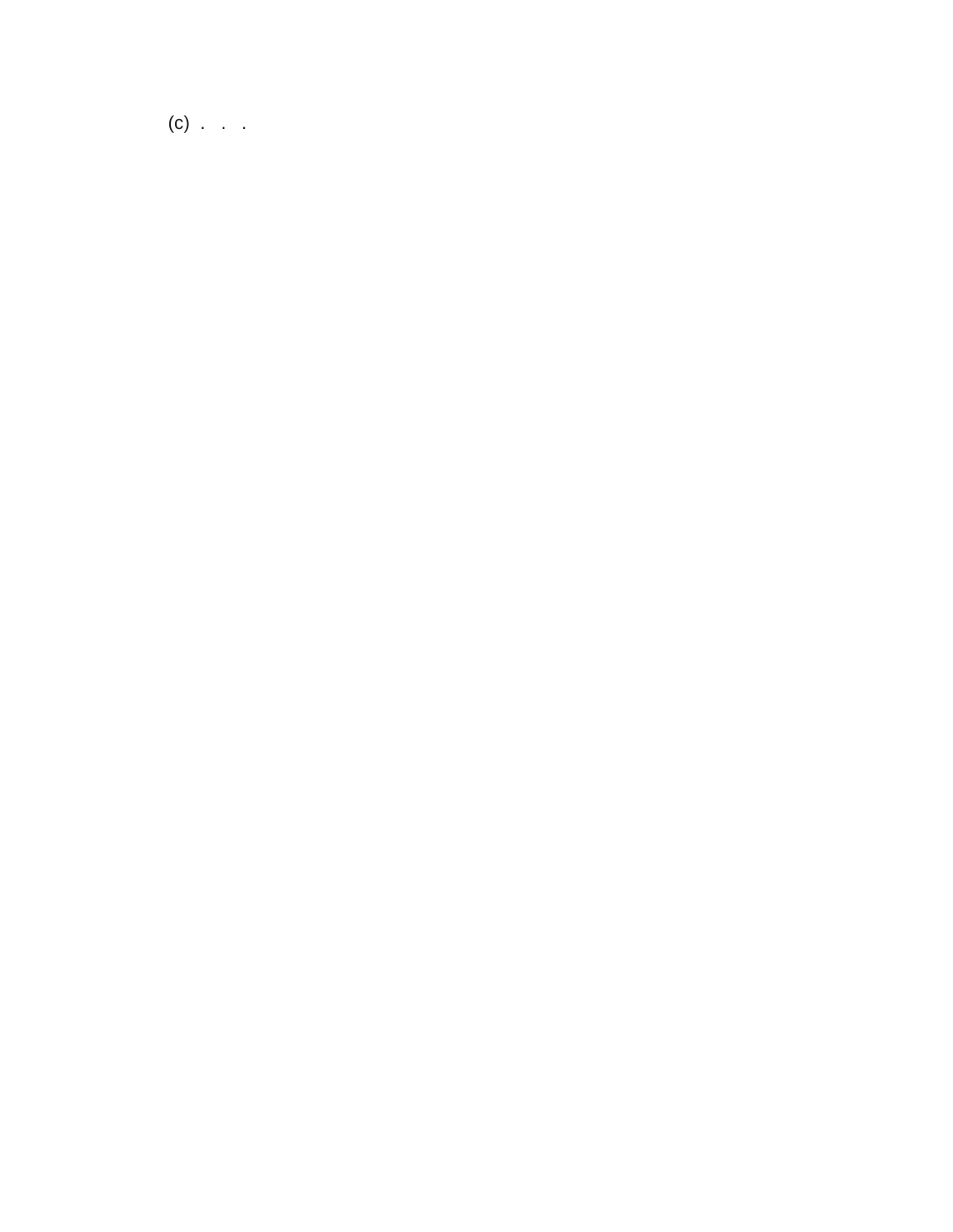$(c)$  . . .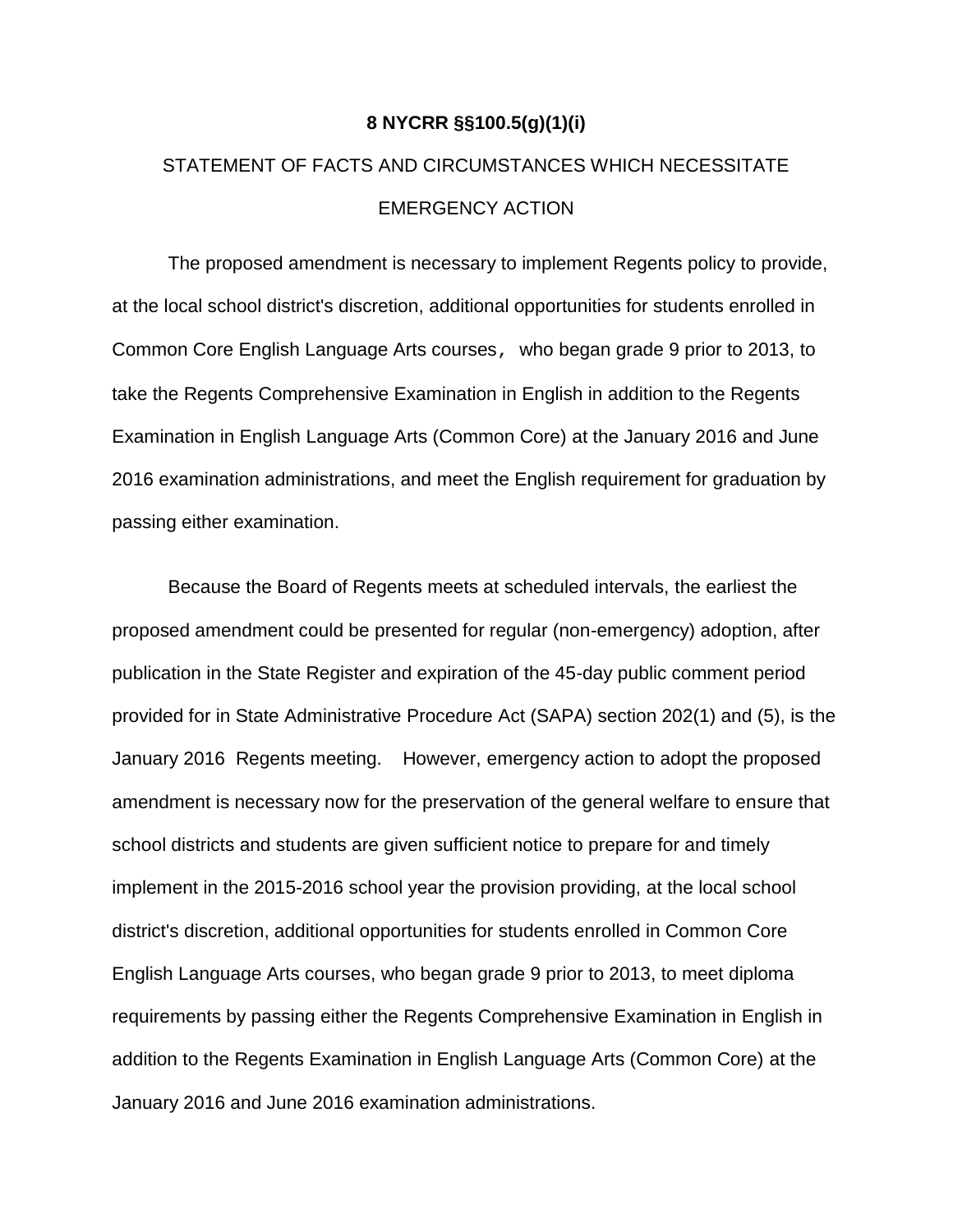#### **8 NYCRR §§100.5(g)(1)(i)**

# STATEMENT OF FACTS AND CIRCUMSTANCES WHICH NECESSITATE EMERGENCY ACTION

The proposed amendment is necessary to implement Regents policy to provide, at the local school district's discretion, additional opportunities for students enrolled in Common Core English Language Arts courses, who began grade 9 prior to 2013, to take the Regents Comprehensive Examination in English in addition to the Regents Examination in English Language Arts (Common Core) at the January 2016 and June 2016 examination administrations, and meet the English requirement for graduation by passing either examination.

Because the Board of Regents meets at scheduled intervals, the earliest the proposed amendment could be presented for regular (non-emergency) adoption, after publication in the State Register and expiration of the 45-day public comment period provided for in State Administrative Procedure Act (SAPA) section 202(1) and (5), is the January 2016 Regents meeting. However, emergency action to adopt the proposed amendment is necessary now for the preservation of the general welfare to ensure that school districts and students are given sufficient notice to prepare for and timely implement in the 2015-2016 school year the provision providing, at the local school district's discretion, additional opportunities for students enrolled in Common Core English Language Arts courses, who began grade 9 prior to 2013, to meet diploma requirements by passing either the Regents Comprehensive Examination in English in addition to the Regents Examination in English Language Arts (Common Core) at the January 2016 and June 2016 examination administrations.